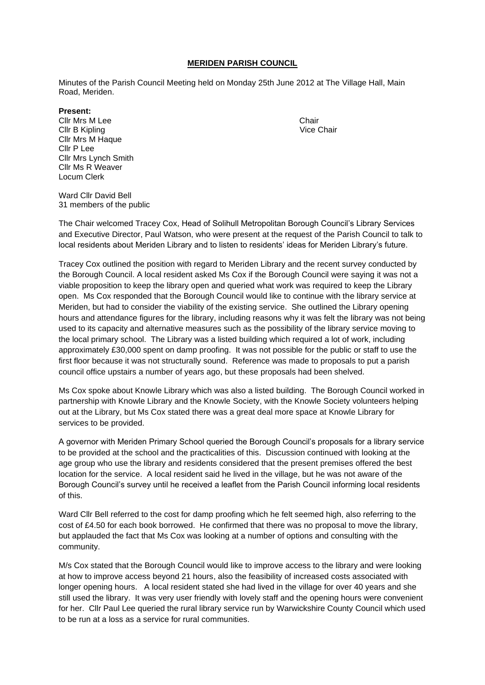#### **MERIDEN PARISH COUNCIL**

Minutes of the Parish Council Meeting held on Monday 25th June 2012 at The Village Hall, Main Road, Meriden.

#### **Present:**

**Clir Mrs M Lee** Chair **Clir B Kipling Community Community Community Community Community Community Community Community Community Community Community Community Community Community Community Community Community Community Community Community Commun** Cllr Mrs M Haque Cllr P Lee Cllr Mrs Lynch Smith Cllr Ms R Weaver Locum Clerk

Ward Cllr David Bell 31 members of the public

The Chair welcomed Tracey Cox, Head of Solihull Metropolitan Borough Council's Library Services and Executive Director, Paul Watson, who were present at the request of the Parish Council to talk to local residents about Meriden Library and to listen to residents' ideas for Meriden Library's future.

Tracey Cox outlined the position with regard to Meriden Library and the recent survey conducted by the Borough Council. A local resident asked Ms Cox if the Borough Council were saying it was not a viable proposition to keep the library open and queried what work was required to keep the Library open. Ms Cox responded that the Borough Council would like to continue with the library service at Meriden, but had to consider the viability of the existing service. She outlined the Library opening hours and attendance figures for the library, including reasons why it was felt the library was not being used to its capacity and alternative measures such as the possibility of the library service moving to the local primary school. The Library was a listed building which required a lot of work, including approximately £30,000 spent on damp proofing. It was not possible for the public or staff to use the first floor because it was not structurally sound. Reference was made to proposals to put a parish council office upstairs a number of years ago, but these proposals had been shelved.

Ms Cox spoke about Knowle Library which was also a listed building. The Borough Council worked in partnership with Knowle Library and the Knowle Society, with the Knowle Society volunteers helping out at the Library, but Ms Cox stated there was a great deal more space at Knowle Library for services to be provided.

A governor with Meriden Primary School queried the Borough Council's proposals for a library service to be provided at the school and the practicalities of this. Discussion continued with looking at the age group who use the library and residents considered that the present premises offered the best location for the service. A local resident said he lived in the village, but he was not aware of the Borough Council's survey until he received a leaflet from the Parish Council informing local residents of this.

Ward Cllr Bell referred to the cost for damp proofing which he felt seemed high, also referring to the cost of £4.50 for each book borrowed. He confirmed that there was no proposal to move the library, but applauded the fact that Ms Cox was looking at a number of options and consulting with the community.

M/s Cox stated that the Borough Council would like to improve access to the library and were looking at how to improve access beyond 21 hours, also the feasibility of increased costs associated with longer opening hours. A local resident stated she had lived in the village for over 40 years and she still used the library. It was very user friendly with lovely staff and the opening hours were convenient for her. Cllr Paul Lee queried the rural library service run by Warwickshire County Council which used to be run at a loss as a service for rural communities.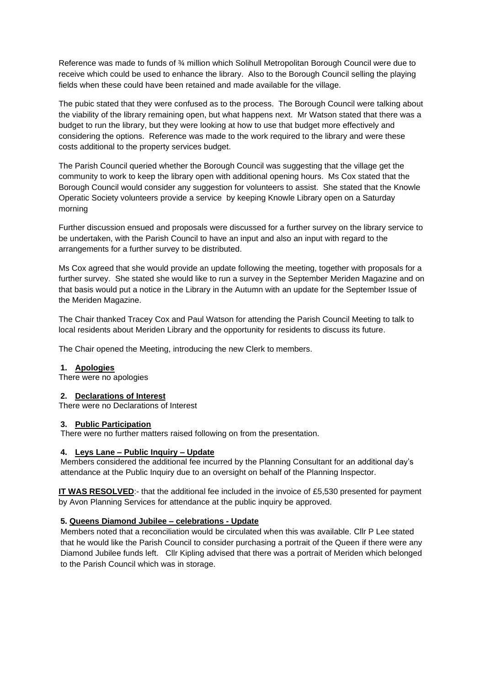Reference was made to funds of ¾ million which Solihull Metropolitan Borough Council were due to receive which could be used to enhance the library. Also to the Borough Council selling the playing fields when these could have been retained and made available for the village.

The pubic stated that they were confused as to the process. The Borough Council were talking about the viability of the library remaining open, but what happens next. Mr Watson stated that there was a budget to run the library, but they were looking at how to use that budget more effectively and considering the options. Reference was made to the work required to the library and were these costs additional to the property services budget.

The Parish Council queried whether the Borough Council was suggesting that the village get the community to work to keep the library open with additional opening hours. Ms Cox stated that the Borough Council would consider any suggestion for volunteers to assist. She stated that the Knowle Operatic Society volunteers provide a service by keeping Knowle Library open on a Saturday morning

Further discussion ensued and proposals were discussed for a further survey on the library service to be undertaken, with the Parish Council to have an input and also an input with regard to the arrangements for a further survey to be distributed.

Ms Cox agreed that she would provide an update following the meeting, together with proposals for a further survey. She stated she would like to run a survey in the September Meriden Magazine and on that basis would put a notice in the Library in the Autumn with an update for the September Issue of the Meriden Magazine.

The Chair thanked Tracey Cox and Paul Watson for attending the Parish Council Meeting to talk to local residents about Meriden Library and the opportunity for residents to discuss its future.

The Chair opened the Meeting, introducing the new Clerk to members.

### **1. Apologies**

There were no apologies

#### **2. Declarations of Interest**

There were no Declarations of Interest

#### **3. Public Participation**

There were no further matters raised following on from the presentation.

#### **4. Leys Lane – Public Inquiry – Update**

Members considered the additional fee incurred by the Planning Consultant for an additional day's attendance at the Public Inquiry due to an oversight on behalf of the Planning Inspector.

**IT WAS RESOLVED:**- that the additional fee included in the invoice of £5,530 presented for payment by Avon Planning Services for attendance at the public inquiry be approved.

### **5. Queens Diamond Jubilee – celebrations - Update**

Members noted that a reconciliation would be circulated when this was available. Cllr P Lee stated that he would like the Parish Council to consider purchasing a portrait of the Queen if there were any Diamond Jubilee funds left. Cllr Kipling advised that there was a portrait of Meriden which belonged to the Parish Council which was in storage.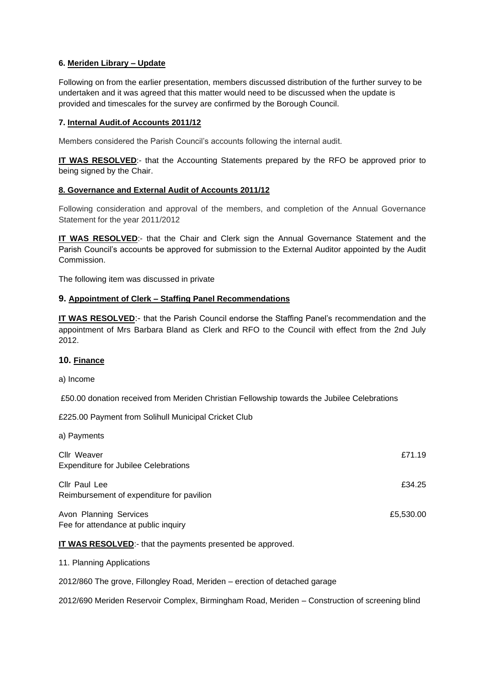### **6. Meriden Library – Update**

Following on from the earlier presentation, members discussed distribution of the further survey to be undertaken and it was agreed that this matter would need to be discussed when the update is provided and timescales for the survey are confirmed by the Borough Council.

# **7. Internal Audit.of Accounts 2011/12**

Members considered the Parish Council's accounts following the internal audit.

**IT WAS RESOLVED**:- that the Accounting Statements prepared by the RFO be approved prior to being signed by the Chair.

### **8. Governance and External Audit of Accounts 2011/12**

Following consideration and approval of the members, and completion of the Annual Governance Statement for the year 2011/2012

**IT WAS RESOLVED:**- that the Chair and Clerk sign the Annual Governance Statement and the Parish Council's accounts be approved for submission to the External Auditor appointed by the Audit Commission.

The following item was discussed in private

# **9. Appointment of Clerk – Staffing Panel Recommendations**

**IT WAS RESOLVED**:- that the Parish Council endorse the Staffing Panel's recommendation and the appointment of Mrs Barbara Bland as Clerk and RFO to the Council with effect from the 2nd July 2012.

# **10. Finance**

a) Income

a) Payments

£50.00 donation received from Meriden Christian Fellowship towards the Jubilee Celebrations

£225.00 Payment from Solihull Municipal Cricket Club

| Cllr Weaver<br><b>Expenditure for Jubilee Celebrations</b>     | £71.19    |
|----------------------------------------------------------------|-----------|
| Cllr Paul Lee<br>Reimbursement of expenditure for pavilion     | £34.25    |
| Avon Planning Services<br>Fee for attendance at public inquiry | £5,530.00 |

**IT WAS RESOLVED**:- that the payments presented be approved.

11. Planning Applications

2012/860 The grove, Fillongley Road, Meriden – erection of detached garage

2012/690 Meriden Reservoir Complex, Birmingham Road, Meriden – Construction of screening blind